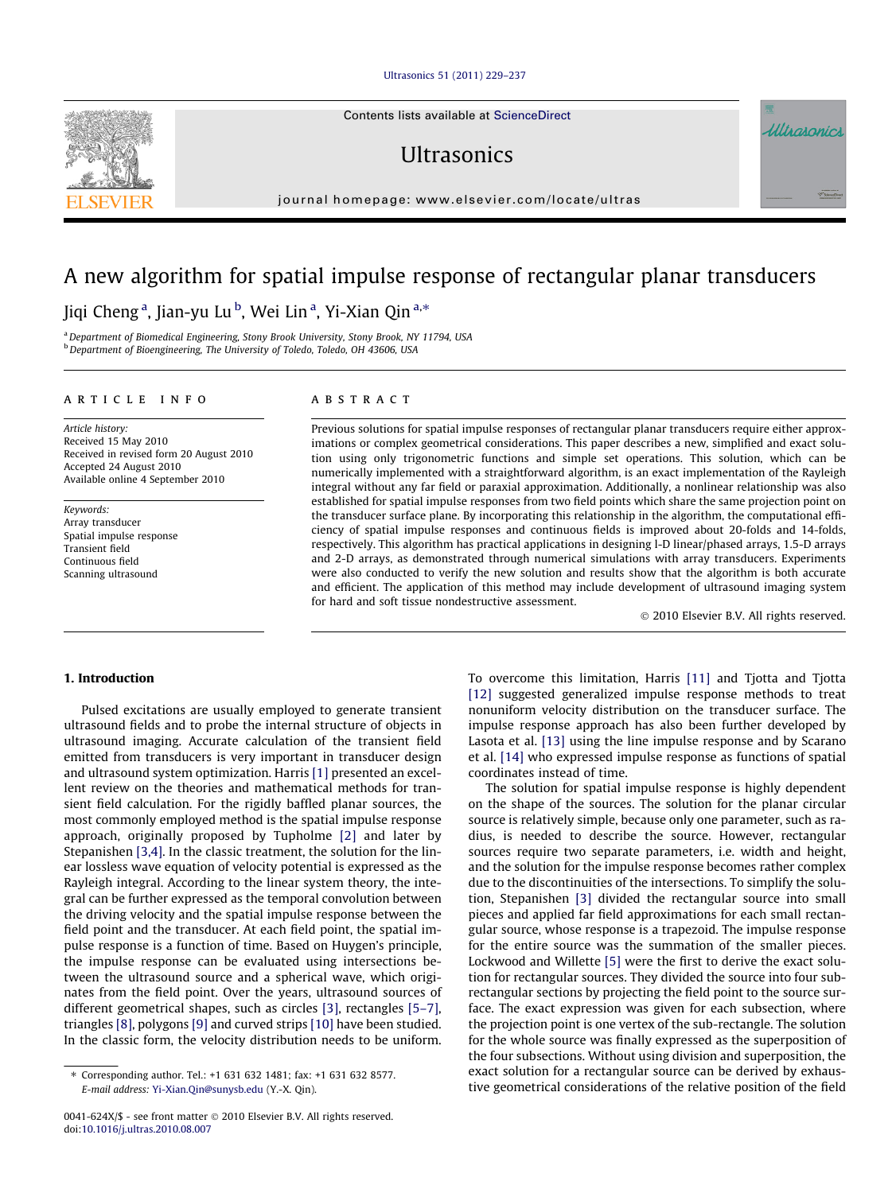#### [Ultrasonics 51 \(2011\) 229–237](http://dx.doi.org/10.1016/j.ultras.2010.08.007)

Contents lists available at [ScienceDirect](http://www.sciencedirect.com/science/journal/0041624X)

## **I**IItrasonics

journal homepage: [www.elsevier.com/locate/ultras](http://www.elsevier.com/locate/ultras)

# A new algorithm for spatial impulse response of rectangular planar transducers

### Jiqi Cheng<sup>a</sup>, Jian-yu Lu<sup>b</sup>, Wei Lin<sup>a</sup>, Yi-Xian Qin<sup>a,</sup>\*

a Department of Biomedical Engineering, Stony Brook University, Stony Brook, NY 11794, USA b Department of Bioengineering, The University of Toledo, Toledo, OH 43606, USA

#### article info

Article history: Received 15 May 2010 Received in revised form 20 August 2010 Accepted 24 August 2010 Available online 4 September 2010

Keywords: Array transducer Spatial impulse response Transient field Continuous field Scanning ultrasound

#### **ABSTRACT**

Previous solutions for spatial impulse responses of rectangular planar transducers require either approximations or complex geometrical considerations. This paper describes a new, simplified and exact solution using only trigonometric functions and simple set operations. This solution, which can be numerically implemented with a straightforward algorithm, is an exact implementation of the Rayleigh integral without any far field or paraxial approximation. Additionally, a nonlinear relationship was also established for spatial impulse responses from two field points which share the same projection point on the transducer surface plane. By incorporating this relationship in the algorithm, the computational efficiency of spatial impulse responses and continuous fields is improved about 20-folds and 14-folds, respectively. This algorithm has practical applications in designing l-D linear/phased arrays, 1.5-D arrays and 2-D arrays, as demonstrated through numerical simulations with array transducers. Experiments were also conducted to verify the new solution and results show that the algorithm is both accurate and efficient. The application of this method may include development of ultrasound imaging system for hard and soft tissue nondestructive assessment.

- 2010 Elsevier B.V. All rights reserved.

#### 1. Introduction

Pulsed excitations are usually employed to generate transient ultrasound fields and to probe the internal structure of objects in ultrasound imaging. Accurate calculation of the transient field emitted from transducers is very important in transducer design and ultrasound system optimization. Harris [\[1\]](#page-8-0) presented an excellent review on the theories and mathematical methods for transient field calculation. For the rigidly baffled planar sources, the most commonly employed method is the spatial impulse response approach, originally proposed by Tupholme [\[2\]](#page-8-0) and later by Stepanishen [\[3,4\]](#page-8-0). In the classic treatment, the solution for the linear lossless wave equation of velocity potential is expressed as the Rayleigh integral. According to the linear system theory, the integral can be further expressed as the temporal convolution between the driving velocity and the spatial impulse response between the field point and the transducer. At each field point, the spatial impulse response is a function of time. Based on Huygen's principle, the impulse response can be evaluated using intersections between the ultrasound source and a spherical wave, which originates from the field point. Over the years, ultrasound sources of different geometrical shapes, such as circles [\[3\]](#page-8-0), rectangles [\[5–7\],](#page-8-0) triangles [\[8\],](#page-8-0) polygons [\[9\]](#page-8-0) and curved strips [\[10\]](#page-8-0) have been studied. In the classic form, the velocity distribution needs to be uniform.

To overcome this limitation, Harris [\[11\]](#page-8-0) and Tjotta and Tjotta [\[12\]](#page-8-0) suggested generalized impulse response methods to treat nonuniform velocity distribution on the transducer surface. The impulse response approach has also been further developed by Lasota et al. [\[13\]](#page-8-0) using the line impulse response and by Scarano et al. [\[14\]](#page-8-0) who expressed impulse response as functions of spatial coordinates instead of time.

The solution for spatial impulse response is highly dependent on the shape of the sources. The solution for the planar circular source is relatively simple, because only one parameter, such as radius, is needed to describe the source. However, rectangular sources require two separate parameters, i.e. width and height, and the solution for the impulse response becomes rather complex due to the discontinuities of the intersections. To simplify the solution, Stepanishen [\[3\]](#page-8-0) divided the rectangular source into small pieces and applied far field approximations for each small rectangular source, whose response is a trapezoid. The impulse response for the entire source was the summation of the smaller pieces. Lockwood and Willette [\[5\]](#page-8-0) were the first to derive the exact solution for rectangular sources. They divided the source into four subrectangular sections by projecting the field point to the source surface. The exact expression was given for each subsection, where the projection point is one vertex of the sub-rectangle. The solution for the whole source was finally expressed as the superposition of the four subsections. Without using division and superposition, the exact solution for a rectangular source can be derived by exhaustive geometrical considerations of the relative position of the field





<sup>⇑</sup> Corresponding author. Tel.: +1 631 632 1481; fax: +1 631 632 8577. E-mail address: [Yi-Xian.Qin@sunysb.edu](mailto:Yi-Xian.Qin@sunysb.edu) (Y.-X. Qin).

<sup>0041-624</sup>X/\$ - see front matter © 2010 Elsevier B.V. All rights reserved. doi[:10.1016/j.ultras.2010.08.007](http://dx.doi.org/10.1016/j.ultras.2010.08.007)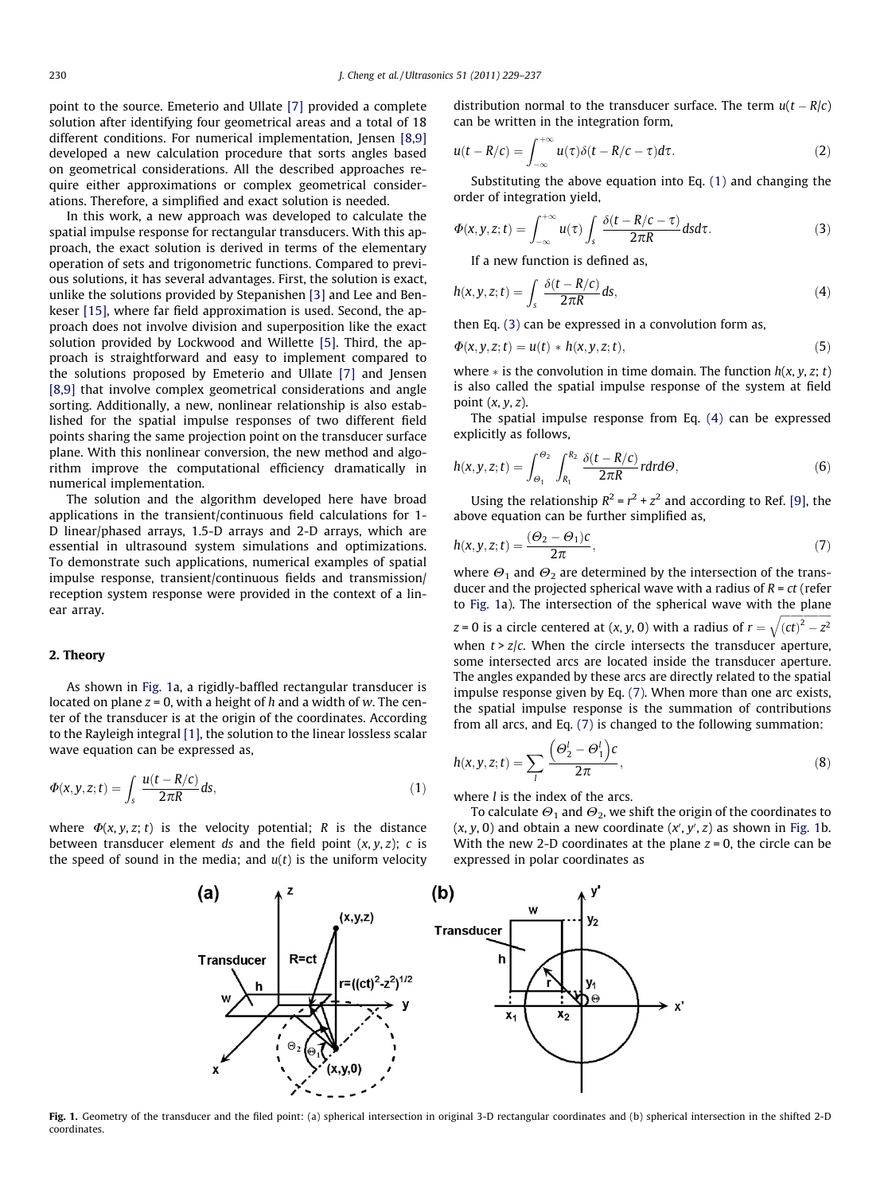<span id="page-1-0"></span>point to the source. Emeterio and Ullate [\[7\]](#page-8-0) provided a complete solution after identifying four geometrical areas and a total of 18 different conditions. For numerical implementation, Jensen [\[8,9\]](#page-8-0) developed a new calculation procedure that sorts angles based on geometrical considerations. All the described approaches require either approximations or complex geometrical considerations. Therefore, a simplified and exact solution is needed.

In this work, a new approach was developed to calculate the spatial impulse response for rectangular transducers. With this approach, the exact solution is derived in terms of the elementary operation of sets and trigonometric functions. Compared to previous solutions, it has several advantages. First, the solution is exact, unlike the solutions provided by Stepanishen [\[3\]](#page-8-0) and Lee and Benkeser [\[15\],](#page-8-0) where far field approximation is used. Second, the approach does not involve division and superposition like the exact solution provided by Lockwood and Willette [\[5\]](#page-8-0). Third, the approach is straightforward and easy to implement compared to the solutions proposed by Emeterio and Ullate [\[7\]](#page-8-0) and Jensen [\[8,9\]](#page-8-0) that involve complex geometrical considerations and angle sorting. Additionally, a new, nonlinear relationship is also established for the spatial impulse responses of two different field points sharing the same projection point on the transducer surface plane. With this nonlinear conversion, the new method and algorithm improve the computational efficiency dramatically in numerical implementation.

The solution and the algorithm developed here have broad applications in the transient/continuous field calculations for 1- D linear/phased arrays, 1.5-D arrays and 2-D arrays, which are essential in ultrasound system simulations and optimizations. To demonstrate such applications, numerical examples of spatial impulse response, transient/continuous fields and transmission/ reception system response were provided in the context of a linear array.

#### 2. Theory

As shown in Fig. 1a, a rigidly-baffled rectangular transducer is located on plane  $z = 0$ , with a height of h and a width of w. The center of the transducer is at the origin of the coordinates. According to the Rayleigh integral [\[1\],](#page-8-0) the solution to the linear lossless scalar wave equation can be expressed as,

$$
\Phi(x, y, z; t) = \int_{s} \frac{u(t - R/c)}{2\pi R} ds,
$$
\n(1)

where  $\Phi(x, y, z; t)$  is the velocity potential; R is the distance between transducer element ds and the field point  $(x, y, z)$ ; c is the speed of sound in the media; and  $u(t)$  is the uniform velocity distribution normal to the transducer surface. The term  $u(t - R/c)$ can be written in the integration form,

$$
u(t - R/c) = \int_{-\infty}^{+\infty} u(\tau) \delta(t - R/c - \tau) d\tau.
$$
 (2)

Substituting the above equation into Eq. (1) and changing the order of integration yield,

$$
\Phi(x, y, z; t) = \int_{-\infty}^{+\infty} u(\tau) \int_{s} \frac{\delta(t - R/c - \tau)}{2\pi R} d s d\tau.
$$
 (3)

If a new function is defined as,

$$
h(x, y, z; t) = \int_{s} \frac{\delta(t - R/c)}{2\pi R} ds,
$$
\n(4)

then Eq. (3) can be expressed in a convolution form as,

$$
\Phi(x, y, z; t) = u(t) * h(x, y, z; t),\tag{5}
$$

where  $*$  is the convolution in time domain. The function  $h(x, y, z; t)$ is also called the spatial impulse response of the system at field point  $(x, y, z)$ .

The spatial impulse response from Eq. (4) can be expressed explicitly as follows,

$$
h(x, y, z; t) = \int_{\Theta_1}^{\Theta_2} \int_{R_1}^{R_2} \frac{\delta(t - R/c)}{2\pi R} r dr d\Theta, \tag{6}
$$

Using the relationship  $R^2 = r^2 + z^2$  and according to Ref. [\[9\],](#page-8-0) the above equation can be further simplified as,

$$
h(x, y, z; t) = \frac{(\Theta_2 - \Theta_1)c}{2\pi},
$$
\n<sup>(7)</sup>

where  $\Theta_1$  and  $\Theta_2$  are determined by the intersection of the transducer and the projected spherical wave with a radius of  $R = ct$  (refer to Fig. 1a). The intersection of the spherical wave with the plane

 $z$  = 0 is a circle centered at (x, y, 0) with a radius of  $r=$  $\frac{1}{2}$  $\sqrt{(ct)^2-z^2}$ when  $t > z/c$ . When the circle intersects the transducer aperture, some intersected arcs are located inside the transducer aperture. The angles expanded by these arcs are directly related to the spatial impulse response given by Eq. (7). When more than one arc exists, the spatial impulse response is the summation of contributions from all arcs, and Eq. (7) is changed to the following summation:

$$
h(x, y, z; t) = \sum_{l} \frac{\left(\Theta_2^l - \Theta_1^l\right)c}{2\pi},
$$
\n(8)

where  $l$  is the index of the arcs.

To calculate  $\Theta_1$  and  $\Theta_2$ , we shift the origin of the coordinates to  $(x, y, 0)$  and obtain a new coordinate  $(x', y', z)$  as shown in Fig. 1b. With the new 2-D coordinates at the plane  $z = 0$ , the circle can be expressed in polar coordinates as



Fig. 1. Geometry of the transducer and the filed point: (a) spherical intersection in original 3-D rectangular coordinates and (b) spherical intersection in the shifted 2-D coordinates.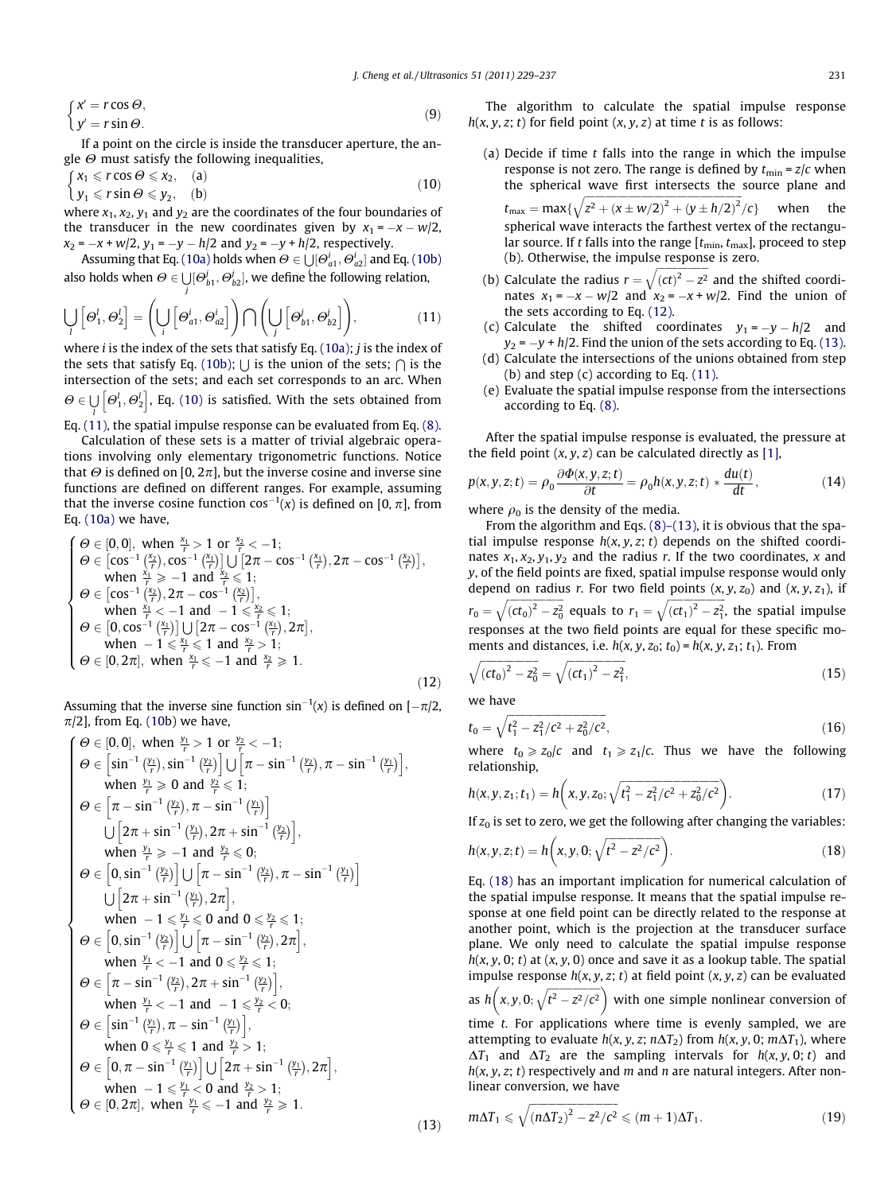<span id="page-2-0"></span>
$$
\begin{cases}\n x' = r \cos \Theta, \\
 y' = r \sin \Theta.\n\end{cases} \tag{9}
$$

If a point on the circle is inside the transducer aperture, the angle  $\Theta$  must satisfy the following inequalities.

$$
\begin{cases}\n x_1 \leq r \cos \Theta \leq x_2, & \text{(a)} \\
 y_1 \leq r \sin \Theta \leq y_2, & \text{(b)}\n\end{cases}
$$
\n(10)

where  $x_1$ ,  $x_2$ ,  $y_1$  and  $y_2$  are the coordinates of the four boundaries of the transducer in the new coordinates given by  $x_1 = -x - w/2$ ,  $x_2 = -x + w/2$ ,  $y_1 = -y - h/2$  and  $y_2 = -y + h/2$ , respectively.

Assuming that Eq. (10a) holds when  $\Theta \in \bigcup [\Theta_{a1}^i, \Theta_{a2}^i]$  and Eq. (10b) also holds when  $\Theta \in \bigcup [\Theta_{b1}^j,\Theta_{b2}^j],$  we define the following relation, j

$$
\bigcup_{l} \left[ \Theta_{1}^{l}, \Theta_{2}^{l} \right] = \left( \bigcup_{i} \left[ \Theta_{a1}^{i}, \Theta_{a2}^{i} \right] \right) \bigcap \left( \bigcup_{j} \left[ \Theta_{b1}^{j}, \Theta_{b2}^{j} \right] \right), \tag{11}
$$

where *i* is the index of the sets that satisfy Eq. (10a); *j* is the index of the sets that satisfy Eq. (10b);  $\bigcup$  is the union of the sets;  $\bigcap$  is the intersection of the sets; and each set corresponds to an arc. When  $\Theta \in \bigcup [\Theta_1^l, \Theta_2^l]$ , Eq. (10) is satisfied. With the sets obtained from l

Eq. (11), the spatial impulse response can be evaluated from Eq. [\(8\).](#page-1-0)

Calculation of these sets is a matter of trivial algebraic operations involving only elementary trigonometric functions. Notice that  $\Theta$  is defined on [0, 2 $\pi$ ], but the inverse cosine and inverse sine functions are defined on different ranges. For example, assuming that the inverse cosine function  $\cos^{-1}(x)$  is defined on [0,  $\pi$ ], from Eq. (10a) we have,

$$
\left\{\begin{array}{ll} \Theta\in[0,0],\text{ when } \frac{x_1}{r}>1\text{ or } \frac{x_2}{r}<-1;\\ \Theta\in[\cos^{-1}\left(\frac{x_2}{r}\right),\cos^{-1}\left(\frac{x_1}{r}\right)]\bigcup\left[2\pi-\cos^{-1}\left(\frac{x_1}{r}\right),2\pi-\cos^{-1}\left(\frac{x_2}{r}\right)\right],\\ \text{ when } \frac{x_1}{r}\geqslant-1\text{ and }\frac{x_2}{r}\leqslant1;\\ \Theta\in[\cos^{-1}\left(\frac{x_2}{r}\right),2\pi-\cos^{-1}\left(\frac{x_2}{r}\right)],\\ \text{ when } \frac{x_1}{r}<-1\text{ and }-1\leqslant\frac{x_2}{r}\leqslant1;\\ \Theta\in\left[0,\cos^{-1}\left(\frac{x_1}{r}\right)\right]\bigcup\left[2\pi-\cos^{-1}\left(\frac{x_1}{r}\right),2\pi\right],\\ \text{ when }-1\leqslant\frac{x_1}{r}\leqslant1\text{ and }\frac{x_2}{r}>1;\\ \Theta\in[0,2\pi],\text{ when }\frac{x_1}{r}\leqslant-1\text{ and }\frac{x_2}{r}\geqslant1.\end{array}\right.\hspace{1.5cm}(12)
$$

Assuming that the inverse sine function  $sin^{-1}(x)$  is defined on [ $-\pi/2$ ,  $\pi/2$ , from Eq. (10b) we have,

$$
\begin{cases}\n\Theta \in [0, 0], \text{ when } \frac{y_1}{r} > 1 \text{ or } \frac{y_2}{r} < -1; \\
\Theta \in [\sin^{-1}(\frac{y_1}{r}), \sin^{-1}(\frac{y_2}{r})] \cup [\pi - \sin^{-1}(\frac{y_2}{r}), \pi - \sin^{-1}(\frac{y_1}{r})], \\
\text{ when } \frac{y_1}{r} \ge 0 \text{ and } \frac{y_2}{r} \le 1; \\
\Theta \in [\pi - \sin^{-1}(\frac{y_2}{r}), \pi - \sin^{-1}(\frac{y_1}{r})] \\
\cup [2\pi + \sin^{-1}(\frac{y_1}{r}), 2\pi + \sin^{-1}(\frac{y_2}{r})], \\
\text{ when } \frac{y_1}{r} \ge -1 \text{ and } \frac{y_2}{r} \le 0; \\
\Theta \in [0, \sin^{-1}(\frac{y_2}{r})] \cup [\pi - \sin^{-1}(\frac{y_2}{r}), \pi - \sin^{-1}(\frac{y_1}{r})] \\
\cup [2\pi + \sin^{-1}(\frac{y_1}{r}), 2\pi], \\
\text{ when } -1 \le \frac{y_1}{r} \le 0 \text{ and } 0 \le \frac{y_2}{r} \le 1; \\
\Theta \in [0, \sin^{-1}(\frac{y_1}{r})] \cup [\pi - \sin^{-1}(\frac{y_2}{r}), 2\pi], \\
\text{ when } \frac{y_1}{r} < -1 \text{ and } 0 \le \frac{y_2}{r} \le 1; \\
\Theta \in [\pi - \sin^{-1}(\frac{y_2}{r}), 2\pi + \sin^{-1}(\frac{y_2}{r})], \\
\text{ when } \frac{y_1}{r} < -1 \text{ and } -1 \le \frac{y_2}{r} < 0; \\
\Theta \in [\sin^{-1}(\frac{y_1}{r}), \pi - \sin^{-1}(\frac{y_1}{r})], \\
\Theta \in [0, \pi - \sin^{-1}(\frac{y_1}{r})] \cup [2\pi + \sin^{-1}(\frac{y_1}{r}), 2\pi], \\
\Theta \in [0, \pi - \sin^{-1}(\frac{y_1}{r})] \cup [2\pi + \sin^{-1}(\frac{y_1}{r}), 2\pi], \\
\Theta \in [0, 2\pi], \text{ when } \frac{y_1}{r
$$

The algorithm to calculate the spatial impulse response  $h(x, y, z; t)$  for field point  $(x, y, z)$  at time t is as follows:

- (a) Decide if time  $t$  falls into the range in which the impulse response is not zero. The range is defined by  $t_{\min} = z/c$  when the spherical wave first intersects the source plane and  $t_{\text{max}} = \text{max}\{$  $\sqrt{z^2 + (x \pm w/2)^2 + (y \pm h/2)^2}$  $\langle c \rangle$  when the spherical wave interacts the farthest vertex of the rectangular source. If t falls into the range  $[t_{\min}, t_{\max}]$ , proceed to step (b). Otherwise, the impulse response is zero.
- (b) Calculate the radius  $r =$  $\frac{1}{2}$  $\sqrt{(ct)^2-z^2}$ and the shifted coordinates  $x_1 = -x - w/2$  and  $x_2 = -x + w/2$ . Find the union of the sets according to Eq. (12).
- (c) Calculate the shifted coordinates  $y_1 = -y h/2$  and  $y_2$  =  $-y$  + h/2. Find the union of the sets according to Eq. (13).
- (d) Calculate the intersections of the unions obtained from step (b) and step  $(c)$  according to Eq.  $(11)$ .
- (e) Evaluate the spatial impulse response from the intersections according to Eq. [\(8\).](#page-1-0)

After the spatial impulse response is evaluated, the pressure at the field point  $(x, y, z)$  can be calculated directly as [\[1\],](#page-8-0)

$$
p(x, y, z; t) = \rho_0 \frac{\partial \Phi(x, y, z; t)}{\partial t} = \rho_0 h(x, y, z; t) * \frac{du(t)}{dt},
$$
\n(14)

where  $\rho_0$  is the density of the media.

From the algorithm and Eqs.  $(8)$ – $(13)$ , it is obvious that the spatial impulse response  $h(x, y, z; t)$  depends on the shifted coordinates  $x_1, x_2, y_1, y_2$  and the radius r. If the two coordinates, x and y, of the field points are fixed, spatial impulse response would only depend on radius r. For two field points  $(x, y, z_0)$  and  $(x, y, z_1)$ , if  $r_0 = \sqrt{(ct_0)^2 - z_0^2}$  $\sqrt{(ct_0)^2 - z_0^2}$  equals to  $r_1 = \sqrt{(ct_1)^2 - z_1^2}$  $\sqrt{(ct_1)^2 - z_1^2}$ , the spatial impulse responses at the two field points are equal for these specific moments and distances, i.e.  $h(x, y, z_0; t_0) = h(x, y, z_1; t_1)$ . From

$$
\sqrt{(ct_0)^2 - z_0^2} = \sqrt{(ct_1)^2 - z_1^2},\tag{15}
$$

we have

 $(13)$ 

$$
t_0 = \sqrt{t_1^2 - z_1^2/c^2 + z_0^2/c^2},\tag{16}
$$

where  $t_0 \geq z_0/c$  and  $t_1 \geq z_1/c$ . Thus we have the following relationship,

$$
h(x, y, z_1; t_1) = h\bigg(x, y, z_0; \sqrt{t_1^2 - z_1^2/c^2 + z_0^2/c^2}\bigg). \tag{17}
$$

If  $z_0$  is set to zero, we get the following after changing the variables:

$$
h(x, y, z; t) = h\left(x, y, 0; \sqrt{t^2 - z^2/c^2}\right).
$$
 (18)

Eq. (18) has an important implication for numerical calculation of the spatial impulse response. It means that the spatial impulse response at one field point can be directly related to the response at another point, which is the projection at the transducer surface plane. We only need to calculate the spatial impulse response  $h(x, y, 0; t)$  at  $(x, y, 0)$  once and save it as a lookup table. The spatial impulse response  $h(x, y, z; t)$  at field point  $(x, y, z)$  can be evaluated as  $h(x, y, 0; \sqrt{t^2 - z^2/c^2})$  $\left(x,y,0;\sqrt{t^2-z^2/c^2}\right)$  with one simple nonlinear conversion of time t. For applications where time is evenly sampled, we are attempting to evaluate  $h(x, y, z; n\Delta T_2)$  from  $h(x, y, 0; m\Delta T_1)$ , where  $\Delta T_1$  and  $\Delta T_2$  are the sampling intervals for  $h(x, y, 0; t)$  and  $h(x, y, z; t)$  respectively and m and n are natural integers. After nonlinear conversion, we have ffiffiffiffiffiffiffiffiffiffiffiffiffiffiffiffiffiffiffiffiffiffiffiffiffiffiffiffiffiffiffiffiffiffi  $\overline{a}$ 

$$
m\Delta T_1 \leqslant \sqrt{(n\Delta T_2)^2 - z^2/c^2} \leqslant (m+1)\Delta T_1. \tag{19}
$$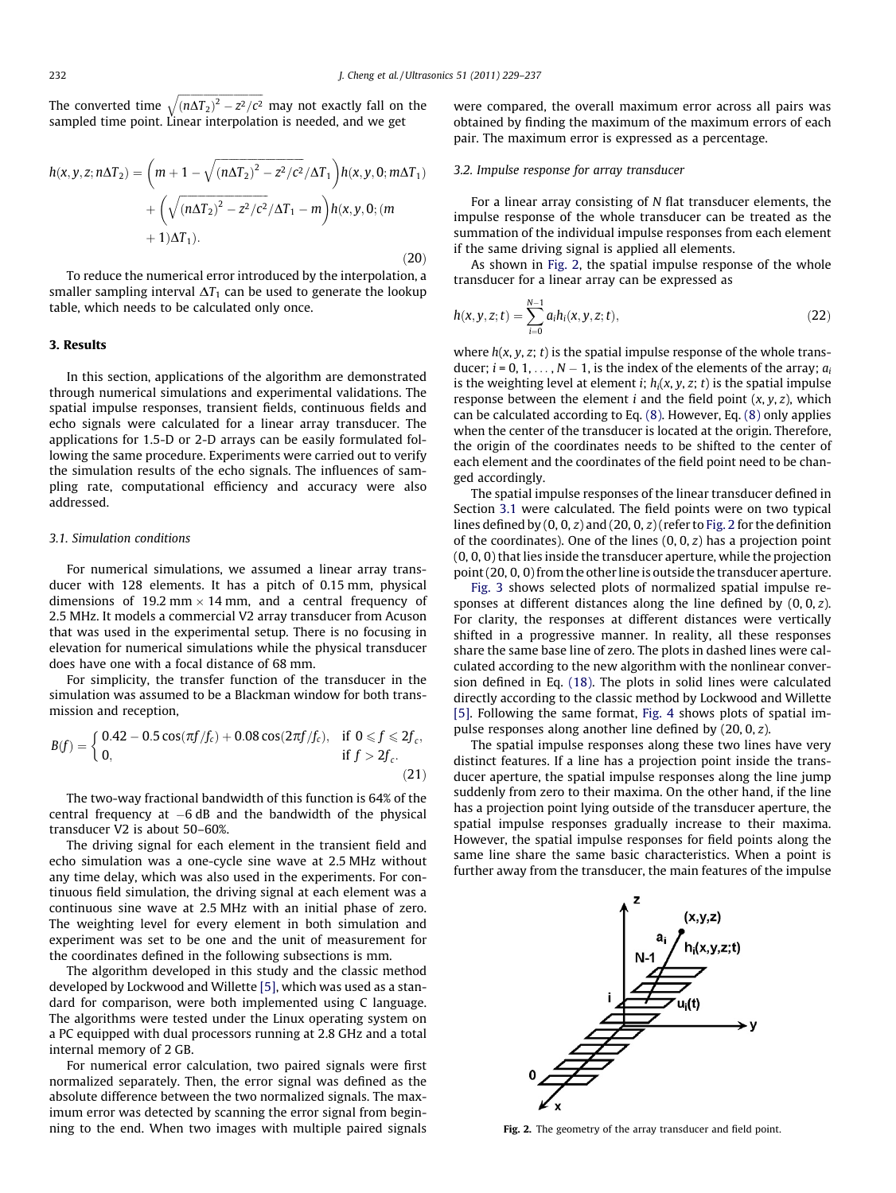<span id="page-3-0"></span>The converted time ffiffiffiffiffiffiffiffiffiffiffiffiffiffiffiffiffiffiffiffiffiffiffiffiffiffiffiffiffiffiffiffiffiffi  $\sqrt{(n\Delta T_2)^2 - z^2/c^2}$ may not exactly fall on the sampled time point. Linear interpolation is needed, and we get

$$
h(x, y, z; n\Delta T_2) = \left(m + 1 - \sqrt{(n\Delta T_2)^2 - z^2/c^2}/\Delta T_1\right)h(x, y, 0; m\Delta T_1) + \left(\sqrt{(n\Delta T_2)^2 - z^2/c^2}/\Delta T_1 - m\right)h(x, y, 0; (m + 1)\Delta T_1).
$$
\n(20)

To reduce the numerical error introduced by the interpolation, a smaller sampling interval  $\Delta T_1$  can be used to generate the lookup table, which needs to be calculated only once.

#### 3. Results

In this section, applications of the algorithm are demonstrated through numerical simulations and experimental validations. The spatial impulse responses, transient fields, continuous fields and echo signals were calculated for a linear array transducer. The applications for 1.5-D or 2-D arrays can be easily formulated following the same procedure. Experiments were carried out to verify the simulation results of the echo signals. The influences of sampling rate, computational efficiency and accuracy were also addressed.

#### 3.1. Simulation conditions

For numerical simulations, we assumed a linear array transducer with 128 elements. It has a pitch of 0.15 mm, physical dimensions of 19.2 mm  $\times$  14 mm, and a central frequency of 2.5 MHz. It models a commercial V2 array transducer from Acuson that was used in the experimental setup. There is no focusing in elevation for numerical simulations while the physical transducer does have one with a focal distance of 68 mm.

For simplicity, the transfer function of the transducer in the simulation was assumed to be a Blackman window for both transmission and reception,

$$
B(f) = \begin{cases} 0.42 - 0.5 \cos(\pi f/f_c) + 0.08 \cos(2\pi f/f_c), & \text{if } 0 \le f \le 2f_c, \\ 0, & \text{if } f > 2f_c. \end{cases}
$$
 (21)

The two-way fractional bandwidth of this function is 64% of the central frequency at -6 dB and the bandwidth of the physical transducer V2 is about 50–60%.

The driving signal for each element in the transient field and echo simulation was a one-cycle sine wave at 2.5 MHz without any time delay, which was also used in the experiments. For continuous field simulation, the driving signal at each element was a continuous sine wave at 2.5 MHz with an initial phase of zero. The weighting level for every element in both simulation and experiment was set to be one and the unit of measurement for the coordinates defined in the following subsections is mm.

The algorithm developed in this study and the classic method developed by Lockwood and Willette [\[5\],](#page-8-0) which was used as a standard for comparison, were both implemented using C language. The algorithms were tested under the Linux operating system on a PC equipped with dual processors running at 2.8 GHz and a total internal memory of 2 GB.

For numerical error calculation, two paired signals were first normalized separately. Then, the error signal was defined as the absolute difference between the two normalized signals. The maximum error was detected by scanning the error signal from beginning to the end. When two images with multiple paired signals

were compared, the overall maximum error across all pairs was obtained by finding the maximum of the maximum errors of each pair. The maximum error is expressed as a percentage.

#### 3.2. Impulse response for array transducer

For a linear array consisting of N flat transducer elements, the impulse response of the whole transducer can be treated as the summation of the individual impulse responses from each element if the same driving signal is applied all elements.

As shown in Fig. 2, the spatial impulse response of the whole transducer for a linear array can be expressed as

$$
h(x, y, z; t) = \sum_{i=0}^{N-1} a_i h_i(x, y, z; t),
$$
\n(22)

where  $h(x, y, z; t)$  is the spatial impulse response of the whole transducer;  $i = 0, 1, ..., N - 1$ , is the index of the elements of the array;  $a_i$ is the weighting level at element *i*;  $h_i(x, y, z; t)$  is the spatial impulse response between the element  $i$  and the field point  $(x, y, z)$ , which can be calculated according to Eq. [\(8\)](#page-1-0). However, Eq. [\(8\)](#page-1-0) only applies when the center of the transducer is located at the origin. Therefore, the origin of the coordinates needs to be shifted to the center of each element and the coordinates of the field point need to be changed accordingly.

The spatial impulse responses of the linear transducer defined in Section 3.1 were calculated. The field points were on two typical lines defined by  $(0, 0, z)$  and  $(20, 0, z)$  (refer to Fig. 2 for the definition of the coordinates). One of the lines  $(0, 0, z)$  has a projection point (0, 0, 0) that lies inside the transducer aperture, while the projection point (20, 0, 0) from the other line is outside the transducer aperture.

[Fig. 3](#page-4-0) shows selected plots of normalized spatial impulse responses at different distances along the line defined by  $(0, 0, z)$ . For clarity, the responses at different distances were vertically shifted in a progressive manner. In reality, all these responses share the same base line of zero. The plots in dashed lines were calculated according to the new algorithm with the nonlinear conversion defined in Eq. [\(18\).](#page-2-0) The plots in solid lines were calculated directly according to the classic method by Lockwood and Willette [\[5\]](#page-8-0). Following the same format, [Fig. 4](#page-4-0) shows plots of spatial impulse responses along another line defined by (20, 0, z).

The spatial impulse responses along these two lines have very distinct features. If a line has a projection point inside the transducer aperture, the spatial impulse responses along the line jump suddenly from zero to their maxima. On the other hand, if the line has a projection point lying outside of the transducer aperture, the spatial impulse responses gradually increase to their maxima. However, the spatial impulse responses for field points along the same line share the same basic characteristics. When a point is further away from the transducer, the main features of the impulse



Fig. 2. The geometry of the array transducer and field point.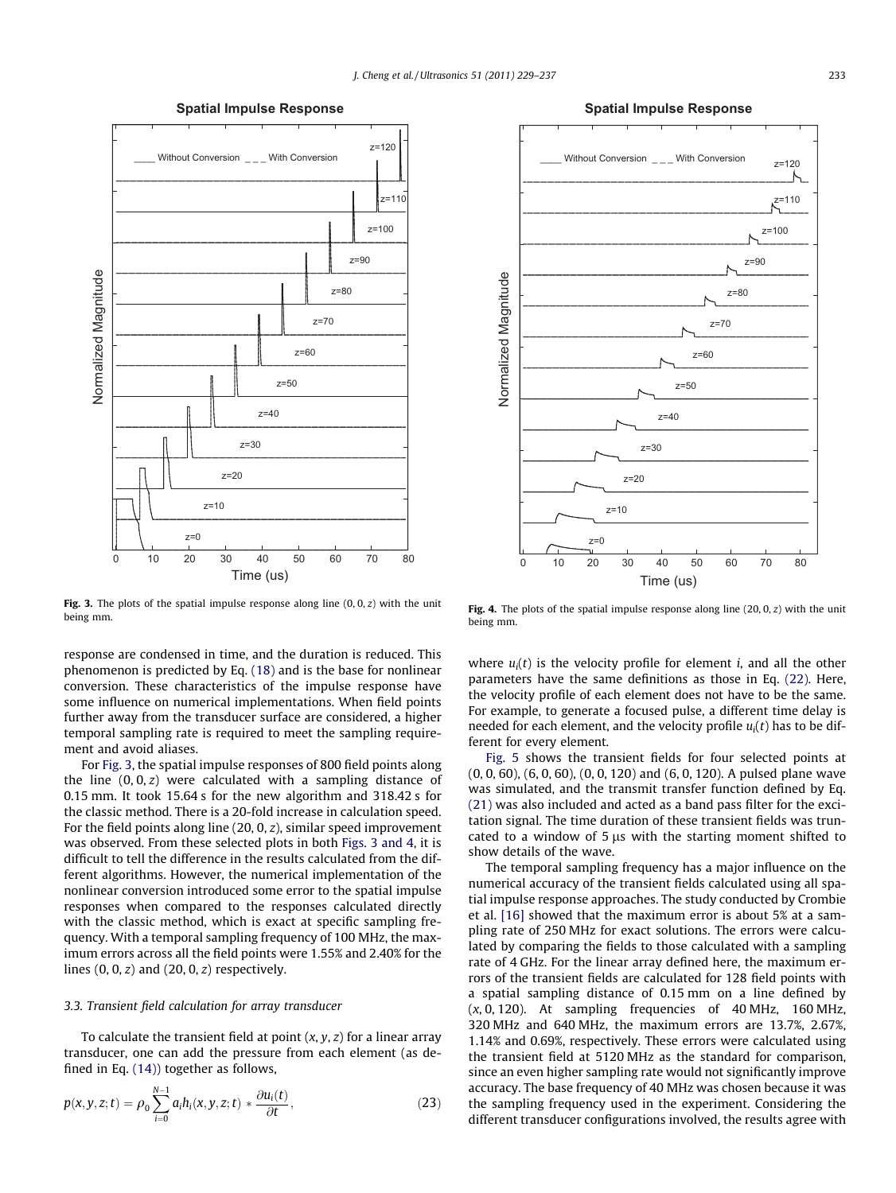**Spatial Impulse Response**

<span id="page-4-0"></span>

Fig. 3. The plots of the spatial impulse response along line  $(0, 0, z)$  with the unit being mm.

response are condensed in time, and the duration is reduced. This phenomenon is predicted by Eq. [\(18\)](#page-2-0) and is the base for nonlinear conversion. These characteristics of the impulse response have some influence on numerical implementations. When field points further away from the transducer surface are considered, a higher temporal sampling rate is required to meet the sampling requirement and avoid aliases.

For Fig. 3, the spatial impulse responses of 800 field points along the line  $(0, 0, z)$  were calculated with a sampling distance of 0.15 mm. It took 15.64 s for the new algorithm and 318.42 s for the classic method. There is a 20-fold increase in calculation speed. For the field points along line (20, 0, z), similar speed improvement was observed. From these selected plots in both Figs. 3 and 4, it is difficult to tell the difference in the results calculated from the different algorithms. However, the numerical implementation of the nonlinear conversion introduced some error to the spatial impulse responses when compared to the responses calculated directly with the classic method, which is exact at specific sampling frequency. With a temporal sampling frequency of 100 MHz, the maximum errors across all the field points were 1.55% and 2.40% for the lines  $(0, 0, z)$  and  $(20, 0, z)$  respectively.

#### 3.3. Transient field calculation for array transducer

To calculate the transient field at point  $(x, y, z)$  for a linear array transducer, one can add the pressure from each element (as defined in Eq. [\(14\)\)](#page-2-0) together as follows,

$$
p(x, y, z; t) = \rho_0 \sum_{i=0}^{N-1} a_i h_i(x, y, z; t) * \frac{\partial u_i(t)}{\partial t},
$$
\n(23)



Fig. 4. The plots of the spatial impulse response along line (20, 0, z) with the unit being mm.

where  $u_i(t)$  is the velocity profile for element *i*, and all the other parameters have the same definitions as those in Eq. [\(22\)](#page-3-0). Here, the velocity profile of each element does not have to be the same. For example, to generate a focused pulse, a different time delay is needed for each element, and the velocity profile  $u_i(t)$  has to be different for every element.

[Fig. 5](#page-5-0) shows the transient fields for four selected points at (0, 0, 60), (6, 0, 60), (0, 0, 120) and (6, 0, 120). A pulsed plane wave was simulated, and the transmit transfer function defined by Eq. [\(21\)](#page-3-0) was also included and acted as a band pass filter for the excitation signal. The time duration of these transient fields was truncated to a window of  $5 \mu s$  with the starting moment shifted to show details of the wave.

The temporal sampling frequency has a major influence on the numerical accuracy of the transient fields calculated using all spatial impulse response approaches. The study conducted by Crombie et al. [\[16\]](#page-8-0) showed that the maximum error is about 5% at a sampling rate of 250 MHz for exact solutions. The errors were calculated by comparing the fields to those calculated with a sampling rate of 4 GHz. For the linear array defined here, the maximum errors of the transient fields are calculated for 128 field points with a spatial sampling distance of 0.15 mm on a line defined by  $(x, 0, 120)$ . At sampling frequencies of 40 MHz, 160 MHz, 320 MHz and 640 MHz, the maximum errors are 13.7%, 2.67%, 1.14% and 0.69%, respectively. These errors were calculated using the transient field at 5120 MHz as the standard for comparison, since an even higher sampling rate would not significantly improve accuracy. The base frequency of 40 MHz was chosen because it was the sampling frequency used in the experiment. Considering the different transducer configurations involved, the results agree with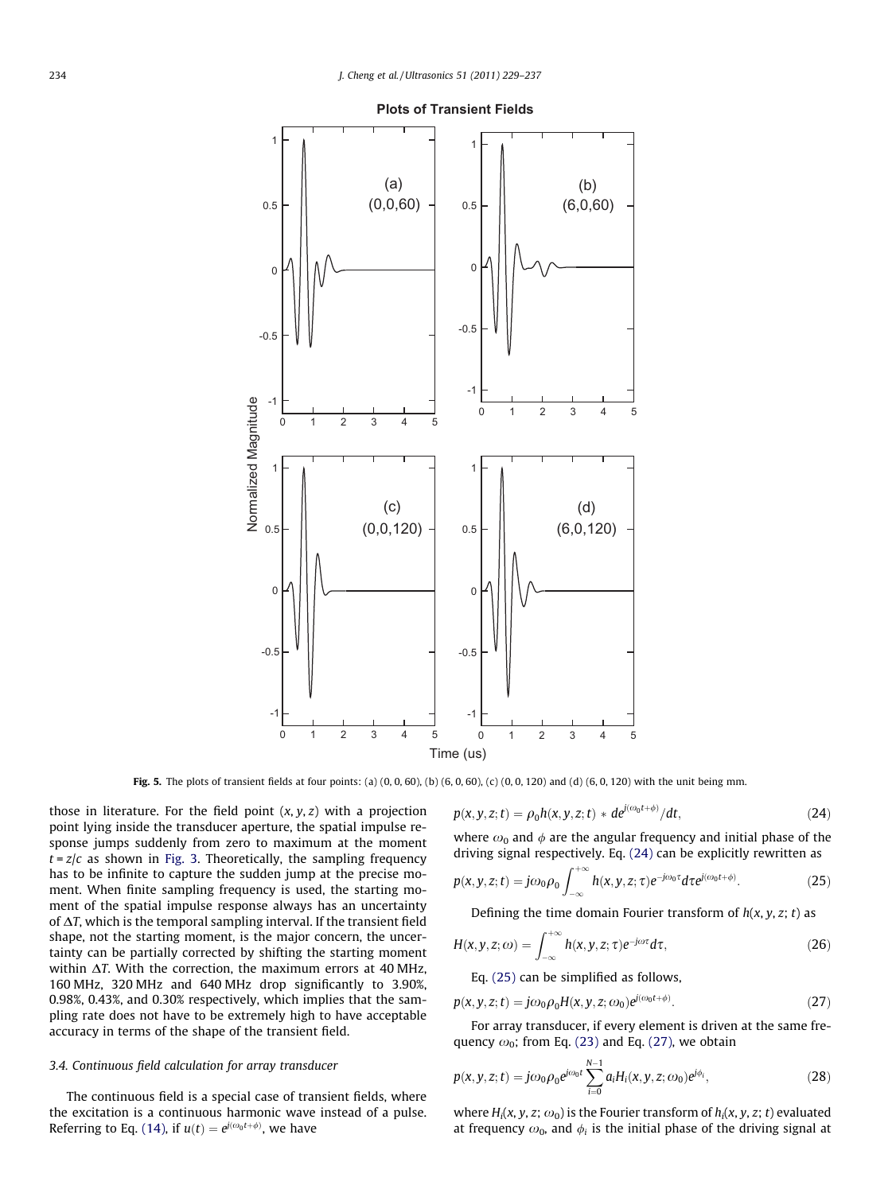<span id="page-5-0"></span>

**Plots of Transient Fields**

**Fig. 5.** The plots of transient fields at four points: (a)  $(0, 0, 60)$ ,  $(b)$   $(6, 0, 60)$ ,  $(c)$   $(0, 0, 120)$  and (d)  $(6, 0, 120)$  with the unit being mm.

those in literature. For the field point  $(x, y, z)$  with a projection point lying inside the transducer aperture, the spatial impulse response jumps suddenly from zero to maximum at the moment  $t = z/c$  as shown in [Fig. 3](#page-4-0). Theoretically, the sampling frequency has to be infinite to capture the sudden jump at the precise moment. When finite sampling frequency is used, the starting moment of the spatial impulse response always has an uncertainty of  $\Delta T$ , which is the temporal sampling interval. If the transient field shape, not the starting moment, is the major concern, the uncertainty can be partially corrected by shifting the starting moment within  $\Delta T$ . With the correction, the maximum errors at 40 MHz, 160 MHz, 320 MHz and 640 MHz drop significantly to 3.90%, 0.98%, 0.43%, and 0.30% respectively, which implies that the sampling rate does not have to be extremely high to have acceptable accuracy in terms of the shape of the transient field.

#### 3.4. Continuous field calculation for array transducer

The continuous field is a special case of transient fields, where the excitation is a continuous harmonic wave instead of a pulse. Referring to Eq. [\(14\),](#page-2-0) if  $u(t) = e^{j(\omega_0 t + \phi)}$ , we have

$$
p(x, y, z; t) = \rho_0 h(x, y, z; t) * de^{j(\omega_0 t + \phi)}/dt,
$$
\n(24)

where  $\omega_0$  and  $\phi$  are the angular frequency and initial phase of the driving signal respectively. Eq. (24) can be explicitly rewritten as

$$
p(x, y, z; t) = j\omega_0 \rho_0 \int_{-\infty}^{+\infty} h(x, y, z; \tau) e^{-j\omega_0 \tau} d\tau e^{j(\omega_0 t + \phi)}.
$$
 (25)

Defining the time domain Fourier transform of  $h(x, y, z; t)$  as

$$
H(x, y, z; \omega) = \int_{-\infty}^{+\infty} h(x, y, z; \tau) e^{-j\omega \tau} d\tau,
$$
 (26)

Eq. (25) can be simplified as follows,

$$
p(x, y, z; t) = j\omega_0 \rho_0 H(x, y, z; \omega_0) e^{j(\omega_0 t + \phi)}.
$$
\n(27)

For array transducer, if every element is driven at the same frequency  $\omega_0$ ; from Eq. [\(23\)](#page-4-0) and Eq. (27), we obtain

$$
p(x, y, z; t) = j\omega_0 \rho_0 e^{j\omega_0 t} \sum_{i=0}^{N-1} a_i H_i(x, y, z; \omega_0) e^{j\phi_i},
$$
 (28)

where  $H_i(x, y, z; \omega_0)$  is the Fourier transform of  $h_i(x, y, z; t)$  evaluated at frequency  $\omega_0$ , and  $\phi_i$  is the initial phase of the driving signal at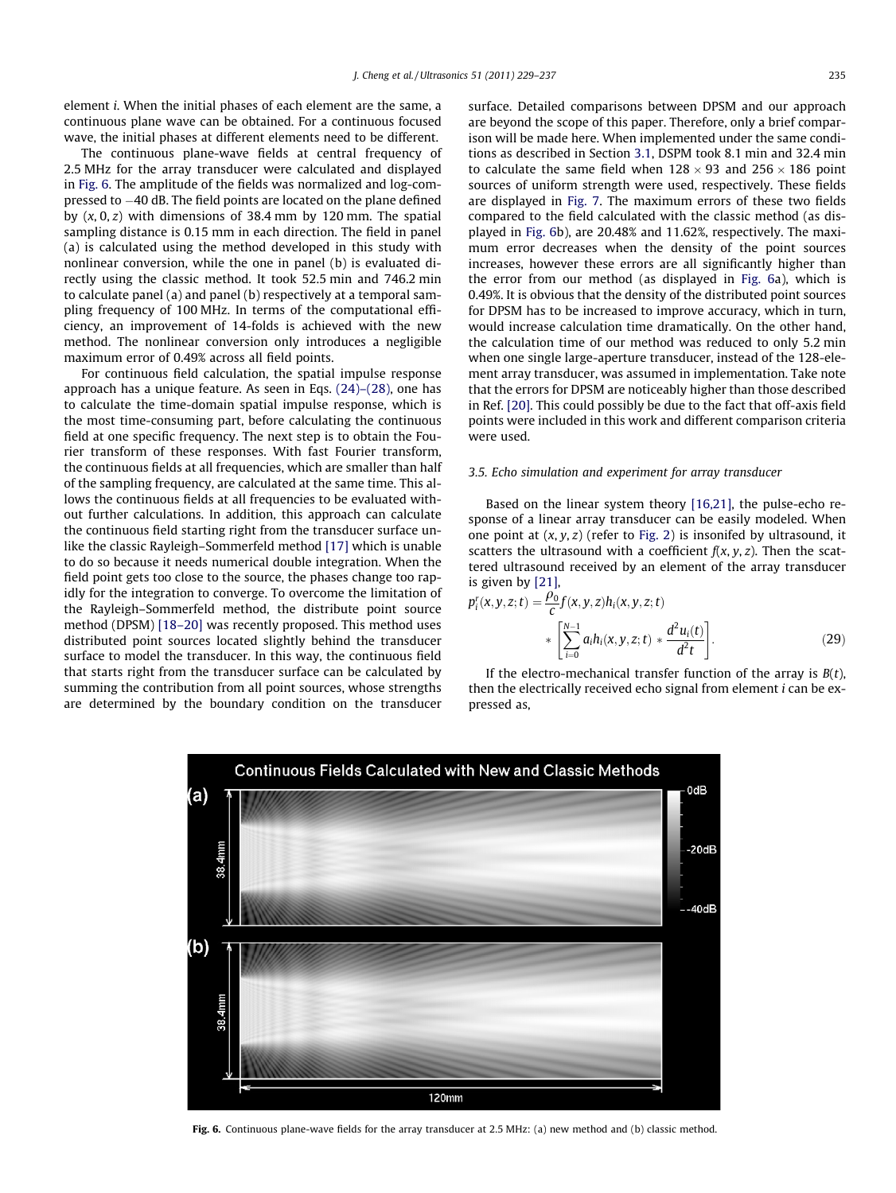element i. When the initial phases of each element are the same, a continuous plane wave can be obtained. For a continuous focused wave, the initial phases at different elements need to be different.

The continuous plane-wave fields at central frequency of 2.5 MHz for the array transducer were calculated and displayed in Fig. 6. The amplitude of the fields was normalized and log-compressed to -40 dB. The field points are located on the plane defined by  $(x, 0, z)$  with dimensions of 38.4 mm by 120 mm. The spatial sampling distance is 0.15 mm in each direction. The field in panel (a) is calculated using the method developed in this study with nonlinear conversion, while the one in panel (b) is evaluated directly using the classic method. It took 52.5 min and 746.2 min to calculate panel (a) and panel (b) respectively at a temporal sampling frequency of 100 MHz. In terms of the computational efficiency, an improvement of 14-folds is achieved with the new method. The nonlinear conversion only introduces a negligible maximum error of 0.49% across all field points.

For continuous field calculation, the spatial impulse response approach has a unique feature. As seen in Eqs. [\(24\)–\(28\)](#page-5-0), one has to calculate the time-domain spatial impulse response, which is the most time-consuming part, before calculating the continuous field at one specific frequency. The next step is to obtain the Fourier transform of these responses. With fast Fourier transform, the continuous fields at all frequencies, which are smaller than half of the sampling frequency, are calculated at the same time. This allows the continuous fields at all frequencies to be evaluated without further calculations. In addition, this approach can calculate the continuous field starting right from the transducer surface unlike the classic Rayleigh–Sommerfeld method [\[17\]](#page-8-0) which is unable to do so because it needs numerical double integration. When the field point gets too close to the source, the phases change too rapidly for the integration to converge. To overcome the limitation of the Rayleigh–Sommerfeld method, the distribute point source method (DPSM) [\[18–20\]](#page-8-0) was recently proposed. This method uses distributed point sources located slightly behind the transducer surface to model the transducer. In this way, the continuous field that starts right from the transducer surface can be calculated by summing the contribution from all point sources, whose strengths are determined by the boundary condition on the transducer surface. Detailed comparisons between DPSM and our approach are beyond the scope of this paper. Therefore, only a brief comparison will be made here. When implemented under the same conditions as described in Section [3.1](#page-3-0), DSPM took 8.1 min and 32.4 min to calculate the same field when  $128 \times 93$  and  $256 \times 186$  point sources of uniform strength were used, respectively. These fields are displayed in [Fig. 7.](#page-7-0) The maximum errors of these two fields compared to the field calculated with the classic method (as displayed in Fig. 6b), are 20.48% and 11.62%, respectively. The maximum error decreases when the density of the point sources increases, however these errors are all significantly higher than the error from our method (as displayed in Fig. 6a), which is 0.49%. It is obvious that the density of the distributed point sources for DPSM has to be increased to improve accuracy, which in turn, would increase calculation time dramatically. On the other hand, the calculation time of our method was reduced to only 5.2 min when one single large-aperture transducer, instead of the 128-element array transducer, was assumed in implementation. Take note that the errors for DPSM are noticeably higher than those described in Ref. [\[20\].](#page-8-0) This could possibly be due to the fact that off-axis field points were included in this work and different comparison criteria were used.

#### 3.5. Echo simulation and experiment for array transducer

Based on the linear system theory [\[16,21\],](#page-8-0) the pulse-echo response of a linear array transducer can be easily modeled. When one point at  $(x, y, z)$  (refer to [Fig. 2\)](#page-3-0) is insonifed by ultrasound, it scatters the ultrasound with a coefficient  $f(x, y, z)$ . Then the scattered ultrasound received by an element of the array transducer is given by [\[21\],](#page-8-0)

$$
p_i^r(x, y, z; t) = \frac{\rho_0^s}{c} f(x, y, z) h_i(x, y, z; t)
$$
  
 
$$
* \left[ \sum_{i=0}^{N-1} a_i h_i(x, y, z; t) * \frac{d^2 u_i(t)}{d^2 t} \right].
$$
 (29)

If the electro-mechanical transfer function of the array is  $B(t)$ , then the electrically received echo signal from element *i* can be expressed as,



Fig. 6. Continuous plane-wave fields for the array transducer at 2.5 MHz: (a) new method and (b) classic method.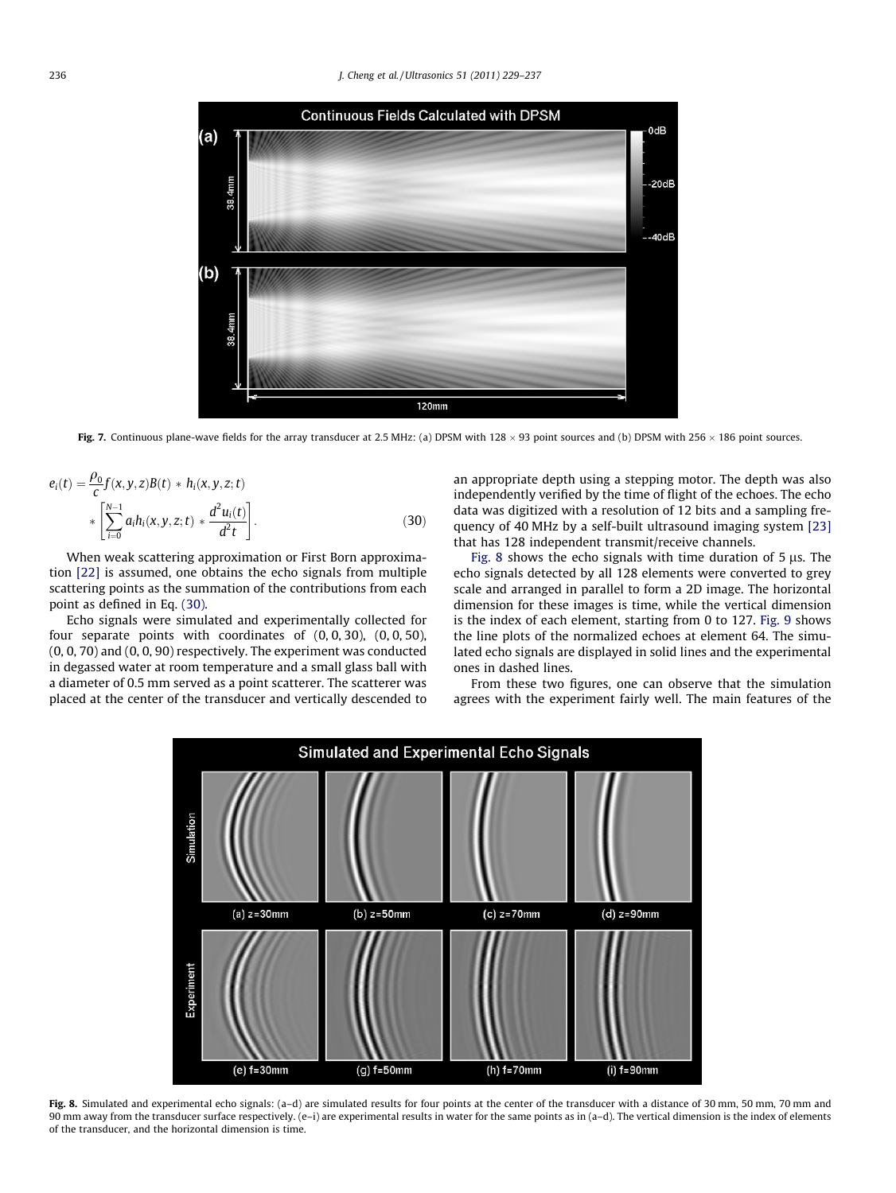<span id="page-7-0"></span>

Fig. 7. Continuous plane-wave fields for the array transducer at 2.5 MHz: (a) DPSM with 128  $\times$  93 point sources and (b) DPSM with 256  $\times$  186 point sources.

$$
e_i(t) = \frac{\rho_0}{c} f(x, y, z)B(t) * h_i(x, y, z; t)
$$
  
 
$$
* \left[ \sum_{i=0}^{N-1} a_i h_i(x, y, z; t) * \frac{d^2 u_i(t)}{d^2 t} \right].
$$
 (30)

When weak scattering approximation or First Born approximation [\[22\]](#page-8-0) is assumed, one obtains the echo signals from multiple scattering points as the summation of the contributions from each point as defined in Eq. (30).

Echo signals were simulated and experimentally collected for four separate points with coordinates of (0, 0, 30), (0, 0, 50), (0, 0, 70) and (0, 0, 90) respectively. The experiment was conducted in degassed water at room temperature and a small glass ball with a diameter of 0.5 mm served as a point scatterer. The scatterer was placed at the center of the transducer and vertically descended to an appropriate depth using a stepping motor. The depth was also independently verified by the time of flight of the echoes. The echo data was digitized with a resolution of 12 bits and a sampling frequency of 40 MHz by a self-built ultrasound imaging system [\[23\]](#page-8-0) that has 128 independent transmit/receive channels.

Fig. 8 shows the echo signals with time duration of  $5 \mu s$ . The echo signals detected by all 128 elements were converted to grey scale and arranged in parallel to form a 2D image. The horizontal dimension for these images is time, while the vertical dimension is the index of each element, starting from 0 to 127. [Fig. 9](#page-8-0) shows the line plots of the normalized echoes at element 64. The simulated echo signals are displayed in solid lines and the experimental ones in dashed lines.

From these two figures, one can observe that the simulation agrees with the experiment fairly well. The main features of the



Fig. 8. Simulated and experimental echo signals: (a-d) are simulated results for four points at the center of the transducer with a distance of 30 mm, 50 mm, 70 mm and 90 mm away from the transducer surface respectively. (e–i) are experimental results in water for the same points as in (a–d). The vertical dimension is the index of elements of the transducer, and the horizontal dimension is time.